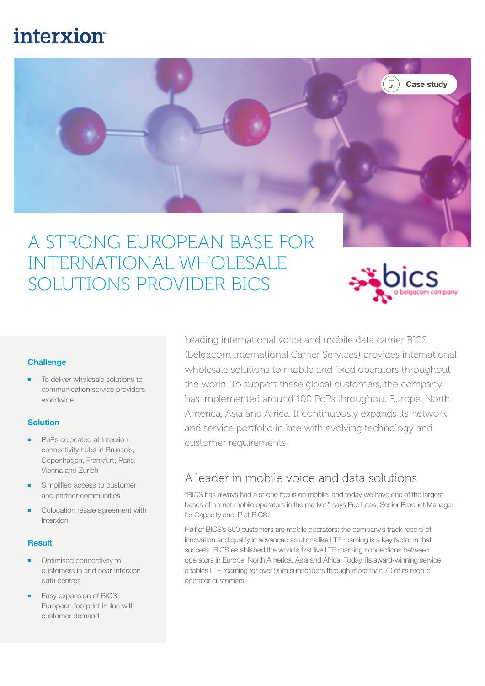# **interxion**



## A STRONG EUROPEAN BASE FOR INTERNATIONAL WHOLESALE SOLUTIONS PROVIDER BICS



#### **Challenge**

To deliver wholesale solutions to communication service providers worldwide

#### **Solution**

- PoPs colocated at Interxion connectivity hubs in Brussels, Copenhagen, Frankfurt, Paris, Vienna and Zurich
- Simplified access to customer and partner communities
- Colocation resale agreement with Interxion

#### Result

- Optimised connectivity to customers in and near Interxion data centres
- Easy expansion of BICS' European footprint in line with customer demand

Leading international voice and mobile data carrier BICS (Belgacom International Carrier Services) provides international wholesale solutions to mobile and fixed operators throughout the world. To support these global customers, the company has implemented around 100 PoPs throughout Europe, North America, Asia and Africa. It continuously expands its network and service portfolio in line with evolving technology and customer requirements.

### A leader in mobile voice and data solutions

"BICS has always had a strong focus on mobile, and today we have one of the largest bases of on-net mobile operators in the market," says Eric Loos, Senior Product Manager for Capacity and IP at BICS.

Half of BICS's 800 customers are mobile operators: the company's track record of innovation and quality in advanced solutions like LTE roaming is a key factor in that success. BICS established the world's first live LTE roaming connections between operators in Europe, North America, Asia and Africa. Today, its award-winning service enables LTE roaming for over 95m subscribers through more than 70 of its mobile operator customers.